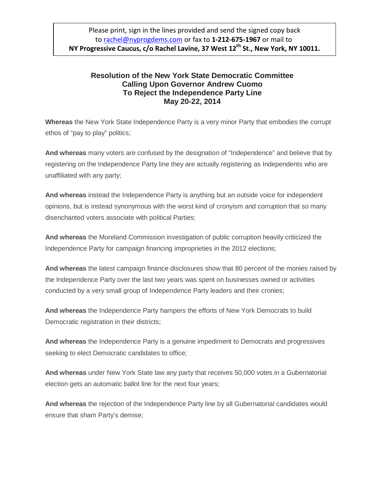## **Resolution of the New York State Democratic Committee Calling Upon Governor Andrew Cuomo To Reject the Independence Party Line May 20-22, 2014**

**Whereas** the New York State Independence Party is a very minor Party that embodies the corrupt ethos of "pay to play" politics;

**And whereas** many voters are confused by the designation of "Independence" and believe that by registering on the Independence Party line they are actually registering as Independents who are unaffiliated with any party;

**And whereas** instead the Independence Party is anything but an outside voice for independent opinions, but is instead synonymous with the worst kind of cronyism and corruption that so many disenchanted voters associate with political Parties;

**And whereas** the Moreland Commission investigation of public corruption heavily criticized the Independence Party for campaign financing improprieties in the 2012 elections;

**And whereas** the latest campaign finance disclosures show that 80 percent of the monies raised by the Independence Party over the last two years was spent on businesses owned or activities conducted by a very small group of Independence Party leaders and their cronies;

**And whereas** the Independence Party hampers the efforts of New York Democrats to build Democratic registration in their districts;

**And whereas** the Independence Party is a genuine impediment to Democrats and progressives seeking to elect Democratic candidates to office;

**And whereas** under New York State law any party that receives 50,000 votes in a Gubernatorial election gets an automatic ballot line for the next four years;

**And whereas** the rejection of the Independence Party line by all Gubernatorial candidates would ensure that sham Party's demise;